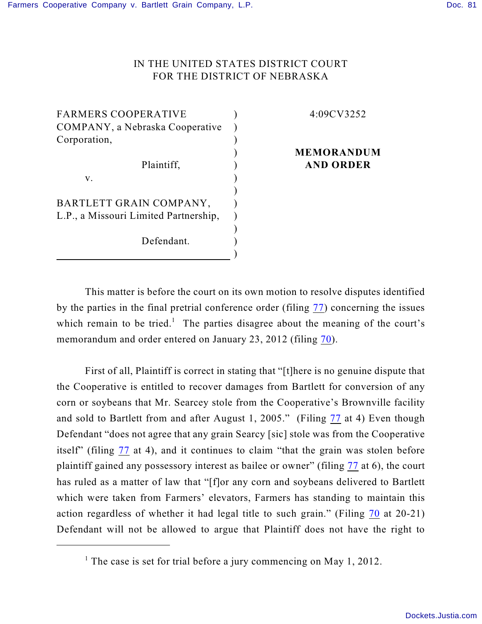## IN THE UNITED STATES DISTRICT COURT FOR THE DISTRICT OF NEBRASKA

) ) ) ) ) ) ) ) ) ) ) )

FARMERS COOPERATIVE COMPANY, a Nebraska Cooperative Corporation, Plaintiff, v.

BARTLETT GRAIN COMPANY, L.P., a Missouri Limited Partnership, Defendant.

4:09CV3252

## **MEMORANDUM AND ORDER**

This matter is before the court on its own motion to resolve disputes identified by the parties in the final pretrial conference order (filing [77](https://ecf.ned.uscourts.gov/doc1/11312476415)) concerning the issues which remain to be tried.<sup>1</sup> The parties disagree about the meaning of the court's memorandum and order entered on January 23, 2012 (filing [70](https://ecf.ned.uscourts.gov/doc1/11312444768)).

First of all, Plaintiff is correct in stating that "[t]here is no genuine dispute that the Cooperative is entitled to recover damages from Bartlett for conversion of any corn or soybeans that Mr. Searcey stole from the Cooperative's Brownville facility and sold to Bartlett from and after August 1, 2005." (Filing [77](https://ecf.ned.uscourts.gov/doc1/11312476415) at 4) Even though Defendant "does not agree that any grain Searcy [sic] stole was from the Cooperative itself" (filing  $\frac{77}{1}$  $\frac{77}{1}$  $\frac{77}{1}$  at 4), and it continues to claim "that the grain was stolen before plaintiff gained any possessory interest as bailee or owner" (filing [77](https://ecf.ned.uscourts.gov/doc1/11312476415) at 6), the court has ruled as a matter of law that "[f]or any corn and soybeans delivered to Bartlett which were taken from Farmers' elevators, Farmers has standing to maintain this action regardless of whether it had legal title to such grain." (Filing [70](https://ecf.ned.uscourts.gov/doc1/11312444768) at 20-21) Defendant will not be allowed to argue that Plaintiff does not have the right to

<sup>&</sup>lt;sup>1</sup> The case is set for trial before a jury commencing on May 1, 2012.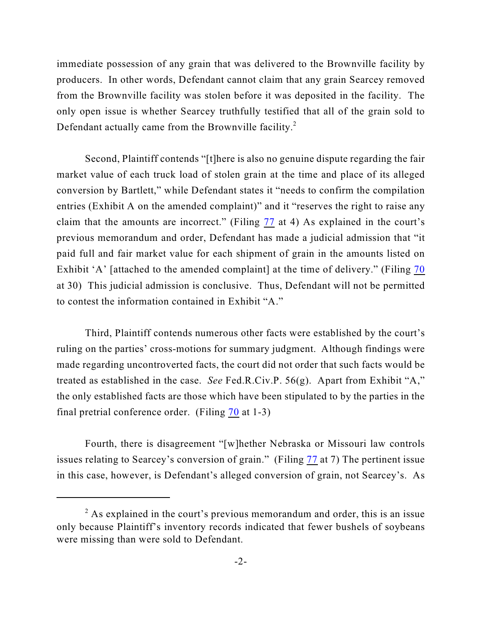immediate possession of any grain that was delivered to the Brownville facility by producers. In other words, Defendant cannot claim that any grain Searcey removed from the Brownville facility was stolen before it was deposited in the facility. The only open issue is whether Searcey truthfully testified that all of the grain sold to Defendant actually came from the Brownville facility.<sup>2</sup>

Second, Plaintiff contends "[t]here is also no genuine dispute regarding the fair market value of each truck load of stolen grain at the time and place of its alleged conversion by Bartlett," while Defendant states it "needs to confirm the compilation entries (Exhibit A on the amended complaint)" and it "reserves the right to raise any claim that the amounts are incorrect." (Filing [77](https://ecf.ned.uscourts.gov/doc1/11312476415) at 4) As explained in the court's previous memorandum and order, Defendant has made a judicial admission that "it paid full and fair market value for each shipment of grain in the amounts listed on Exhibit 'A' [attached to the amended complaint] at the time of delivery." (Filing [70](https://ecf.ned.uscourts.gov/doc1/11312444768) at 30) This judicial admission is conclusive. Thus, Defendant will not be permitted to contest the information contained in Exhibit "A."

Third, Plaintiff contends numerous other facts were established by the court's ruling on the parties' cross-motions for summary judgment. Although findings were made regarding uncontroverted facts, the court did not order that such facts would be treated as established in the case. *See* Fed.R.Civ.P. 56(g). Apart from Exhibit "A," the only established facts are those which have been stipulated to by the parties in the final pretrial conference order. (Filing [70](https://ecf.ned.uscourts.gov/doc1/11312444768) at 1-3)

Fourth, there is disagreement "[w]hether Nebraska or Missouri law controls issues relating to Searcey's conversion of grain." (Filing [77](https://ecf.ned.uscourts.gov/doc1/11312476415) at 7) The pertinent issue in this case, however, is Defendant's alleged conversion of grain, not Searcey's. As

 $2$  As explained in the court's previous memorandum and order, this is an issue only because Plaintiff's inventory records indicated that fewer bushels of soybeans were missing than were sold to Defendant.